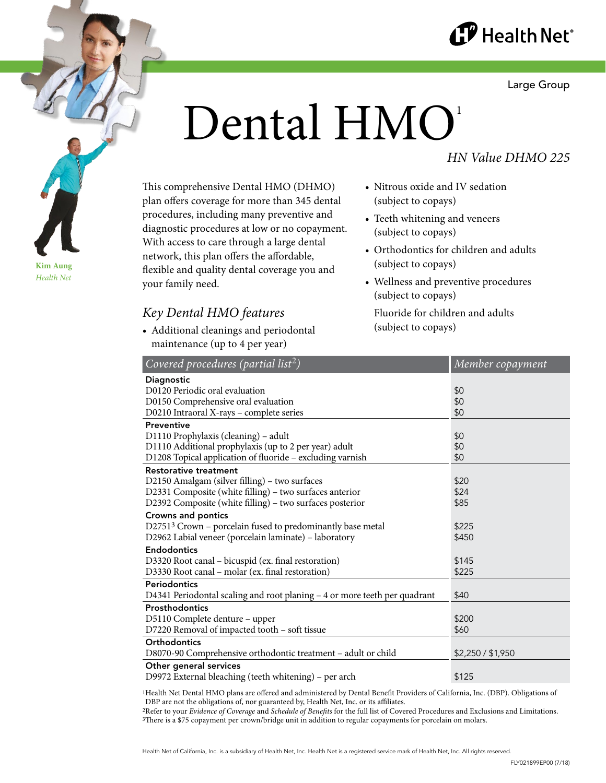

Large Group

# Dental HMO<sup>1</sup>

## *HN Value DHMO 225*

This comprehensive Dental HMO (DHMO) plan offers coverage for more than 345 dental procedures, including many preventive and diagnostic procedures at low or no copayment. With access to care through a large dental network, this plan offers the affordable, flexible and quality dental coverage you and your family need.

# *Key Dental HMO features*

• Additional cleanings and periodontal maintenance (up to 4 per year)

- Nitrous oxide and IV sedation (subject to copays)
- Teeth whitening and veneers (subject to copays)
- Orthodontics for children and adults (subject to copays)
- Wellness and preventive procedures (subject to copays)

Fluoride for children and adults (subject to copays)

| <b>Diagnostic</b><br>D0120 Periodic oral evaluation<br>\$0<br>\$0<br>D0150 Comprehensive oral evaluation<br>D0210 Intraoral X-rays - complete series<br>\$0<br>Preventive<br>D1110 Prophylaxis (cleaning) - adult<br>\$0<br>D1110 Additional prophylaxis (up to 2 per year) adult<br>\$0<br>D1208 Topical application of fluoride - excluding varnish<br>\$0<br><b>Restorative treatment</b><br>D2150 Amalgam (silver filling) - two surfaces<br>\$20<br>D2331 Composite (white filling) - two surfaces anterior<br>\$24<br>D2392 Composite (white filling) - two surfaces posterior<br>\$85<br>Crowns and pontics<br>D27513 Crown - porcelain fused to predominantly base metal<br>\$225<br>D2962 Labial veneer (porcelain laminate) - laboratory<br>\$450<br><b>Endodontics</b><br>D3320 Root canal - bicuspid (ex. final restoration)<br>\$145<br>D3330 Root canal - molar (ex. final restoration)<br>\$225<br><b>Periodontics</b><br>D4341 Periodontal scaling and root planing - 4 or more teeth per quadrant<br>\$40<br><b>Prosthodontics</b><br>D5110 Complete denture - upper<br>\$200<br>D7220 Removal of impacted tooth - soft tissue<br>\$60<br><b>Orthodontics</b><br>D8070-90 Comprehensive orthodontic treatment - adult or child<br>\$2,250 / \$1,950<br>Other general services | Covered procedures (partial list <sup>2</sup> )       | Member copayment |
|------------------------------------------------------------------------------------------------------------------------------------------------------------------------------------------------------------------------------------------------------------------------------------------------------------------------------------------------------------------------------------------------------------------------------------------------------------------------------------------------------------------------------------------------------------------------------------------------------------------------------------------------------------------------------------------------------------------------------------------------------------------------------------------------------------------------------------------------------------------------------------------------------------------------------------------------------------------------------------------------------------------------------------------------------------------------------------------------------------------------------------------------------------------------------------------------------------------------------------------------------------------------------------------------|-------------------------------------------------------|------------------|
|                                                                                                                                                                                                                                                                                                                                                                                                                                                                                                                                                                                                                                                                                                                                                                                                                                                                                                                                                                                                                                                                                                                                                                                                                                                                                                |                                                       |                  |
|                                                                                                                                                                                                                                                                                                                                                                                                                                                                                                                                                                                                                                                                                                                                                                                                                                                                                                                                                                                                                                                                                                                                                                                                                                                                                                |                                                       |                  |
|                                                                                                                                                                                                                                                                                                                                                                                                                                                                                                                                                                                                                                                                                                                                                                                                                                                                                                                                                                                                                                                                                                                                                                                                                                                                                                |                                                       |                  |
|                                                                                                                                                                                                                                                                                                                                                                                                                                                                                                                                                                                                                                                                                                                                                                                                                                                                                                                                                                                                                                                                                                                                                                                                                                                                                                |                                                       |                  |
|                                                                                                                                                                                                                                                                                                                                                                                                                                                                                                                                                                                                                                                                                                                                                                                                                                                                                                                                                                                                                                                                                                                                                                                                                                                                                                |                                                       |                  |
|                                                                                                                                                                                                                                                                                                                                                                                                                                                                                                                                                                                                                                                                                                                                                                                                                                                                                                                                                                                                                                                                                                                                                                                                                                                                                                |                                                       |                  |
|                                                                                                                                                                                                                                                                                                                                                                                                                                                                                                                                                                                                                                                                                                                                                                                                                                                                                                                                                                                                                                                                                                                                                                                                                                                                                                |                                                       |                  |
|                                                                                                                                                                                                                                                                                                                                                                                                                                                                                                                                                                                                                                                                                                                                                                                                                                                                                                                                                                                                                                                                                                                                                                                                                                                                                                |                                                       |                  |
|                                                                                                                                                                                                                                                                                                                                                                                                                                                                                                                                                                                                                                                                                                                                                                                                                                                                                                                                                                                                                                                                                                                                                                                                                                                                                                |                                                       |                  |
|                                                                                                                                                                                                                                                                                                                                                                                                                                                                                                                                                                                                                                                                                                                                                                                                                                                                                                                                                                                                                                                                                                                                                                                                                                                                                                |                                                       |                  |
|                                                                                                                                                                                                                                                                                                                                                                                                                                                                                                                                                                                                                                                                                                                                                                                                                                                                                                                                                                                                                                                                                                                                                                                                                                                                                                |                                                       |                  |
|                                                                                                                                                                                                                                                                                                                                                                                                                                                                                                                                                                                                                                                                                                                                                                                                                                                                                                                                                                                                                                                                                                                                                                                                                                                                                                |                                                       |                  |
|                                                                                                                                                                                                                                                                                                                                                                                                                                                                                                                                                                                                                                                                                                                                                                                                                                                                                                                                                                                                                                                                                                                                                                                                                                                                                                |                                                       |                  |
|                                                                                                                                                                                                                                                                                                                                                                                                                                                                                                                                                                                                                                                                                                                                                                                                                                                                                                                                                                                                                                                                                                                                                                                                                                                                                                |                                                       |                  |
|                                                                                                                                                                                                                                                                                                                                                                                                                                                                                                                                                                                                                                                                                                                                                                                                                                                                                                                                                                                                                                                                                                                                                                                                                                                                                                |                                                       |                  |
|                                                                                                                                                                                                                                                                                                                                                                                                                                                                                                                                                                                                                                                                                                                                                                                                                                                                                                                                                                                                                                                                                                                                                                                                                                                                                                |                                                       |                  |
|                                                                                                                                                                                                                                                                                                                                                                                                                                                                                                                                                                                                                                                                                                                                                                                                                                                                                                                                                                                                                                                                                                                                                                                                                                                                                                |                                                       |                  |
|                                                                                                                                                                                                                                                                                                                                                                                                                                                                                                                                                                                                                                                                                                                                                                                                                                                                                                                                                                                                                                                                                                                                                                                                                                                                                                |                                                       |                  |
|                                                                                                                                                                                                                                                                                                                                                                                                                                                                                                                                                                                                                                                                                                                                                                                                                                                                                                                                                                                                                                                                                                                                                                                                                                                                                                |                                                       |                  |
|                                                                                                                                                                                                                                                                                                                                                                                                                                                                                                                                                                                                                                                                                                                                                                                                                                                                                                                                                                                                                                                                                                                                                                                                                                                                                                |                                                       |                  |
|                                                                                                                                                                                                                                                                                                                                                                                                                                                                                                                                                                                                                                                                                                                                                                                                                                                                                                                                                                                                                                                                                                                                                                                                                                                                                                |                                                       |                  |
|                                                                                                                                                                                                                                                                                                                                                                                                                                                                                                                                                                                                                                                                                                                                                                                                                                                                                                                                                                                                                                                                                                                                                                                                                                                                                                |                                                       |                  |
|                                                                                                                                                                                                                                                                                                                                                                                                                                                                                                                                                                                                                                                                                                                                                                                                                                                                                                                                                                                                                                                                                                                                                                                                                                                                                                |                                                       |                  |
|                                                                                                                                                                                                                                                                                                                                                                                                                                                                                                                                                                                                                                                                                                                                                                                                                                                                                                                                                                                                                                                                                                                                                                                                                                                                                                |                                                       |                  |
|                                                                                                                                                                                                                                                                                                                                                                                                                                                                                                                                                                                                                                                                                                                                                                                                                                                                                                                                                                                                                                                                                                                                                                                                                                                                                                |                                                       |                  |
|                                                                                                                                                                                                                                                                                                                                                                                                                                                                                                                                                                                                                                                                                                                                                                                                                                                                                                                                                                                                                                                                                                                                                                                                                                                                                                |                                                       |                  |
|                                                                                                                                                                                                                                                                                                                                                                                                                                                                                                                                                                                                                                                                                                                                                                                                                                                                                                                                                                                                                                                                                                                                                                                                                                                                                                | D9972 External bleaching (teeth whitening) – per arch | \$125            |

1Health Net Dental HMO plans are offered and administered by Dental Benefit Providers of California, Inc. (DBP). Obligations of DBP are not the obligations of, nor guaranteed by, Health Net, Inc. or its affiliates.

2Refer to your *Evidence of Coverage* and *Schedule of Benefits* for the full list of Covered Procedures and Exclusions and Limitations. 3There is a \$75 copayment per crown/bridge unit in addition to regular copayments for porcelain on molars.

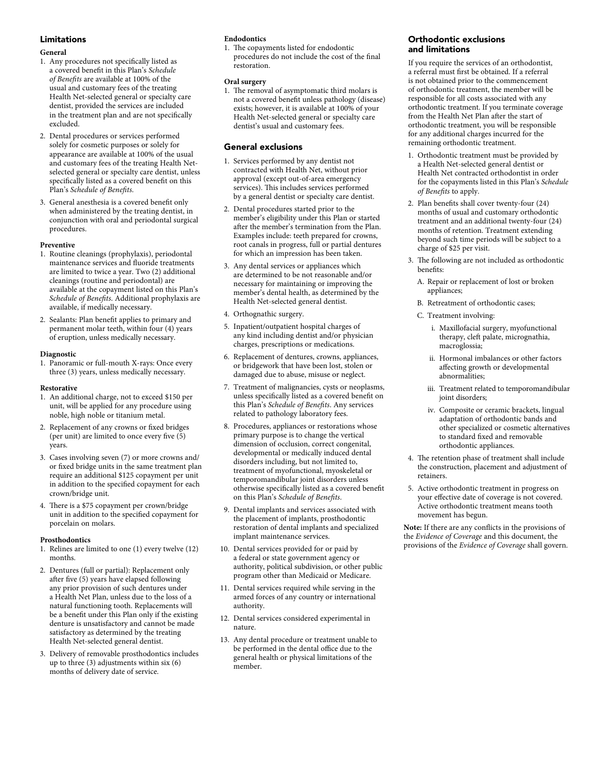#### Limitations

#### **General**

- 1. Any procedures not specifically listed as a covered benefit in this Plan's *Schedule of Benefits* are available at 100% of the usual and customary fees of the treating Health Net-selected general or specialty care dentist, provided the services are included in the treatment plan and are not specifically excluded.
- 2. Dental procedures or services performed solely for cosmetic purposes or solely for appearance are available at 100% of the usual and customary fees of the treating Health Netselected general or specialty care dentist, unless specifically listed as a covered benefit on this Plan's *Schedule of Benefits*.
- 3. General anesthesia is a covered benefit only when administered by the treating dentist, in conjunction with oral and periodontal surgical procedures.

#### **Preventive**

- 1. Routine cleanings (prophylaxis), periodontal maintenance services and fluoride treatments are limited to twice a year. Two (2) additional cleanings (routine and periodontal) are available at the copayment listed on this Plan's *Schedule of Benefits*. Additional prophylaxis are available, if medically necessary.
- 2. Sealants: Plan benefit applies to primary and permanent molar teeth, within four (4) years of eruption, unless medically necessary.

#### **Diagnostic**

1. Panoramic or full-mouth X-rays: Once every three (3) years, unless medically necessary.

#### **Restorative**

- 1. An additional charge, not to exceed \$150 per unit, will be applied for any procedure using noble, high noble or titanium metal.
- 2. Replacement of any crowns or fixed bridges (per unit) are limited to once every five (5) years.
- 3. Cases involving seven (7) or more crowns and/ or fixed bridge units in the same treatment plan require an additional \$125 copayment per unit in addition to the specified copayment for each crown/bridge unit.
- 4. There is a \$75 copayment per crown/bridge unit in addition to the specified copayment for porcelain on molars.

#### **Prosthodontics**

- 1. Relines are limited to one (1) every twelve (12) months.
- 2. Dentures (full or partial): Replacement only after five (5) years have elapsed following any prior provision of such dentures under a Health Net Plan, unless due to the loss of a natural functioning tooth. Replacements will be a benefit under this Plan only if the existing denture is unsatisfactory and cannot be made satisfactory as determined by the treating Health Net-selected general dentist.
- 3. Delivery of removable prosthodontics includes up to three  $(3)$  adjustments within six  $(6)$ months of delivery date of service.

#### **Endodontics**

1. The copayments listed for endodontic procedures do not include the cost of the final restoration.

#### **Oral surgery**

1. The removal of asymptomatic third molars is not a covered benefit unless pathology (disease) exists; however, it is available at 100% of your Health Net-selected general or specialty care dentist's usual and customary fees.

#### General exclusions

- 1. Services performed by any dentist not contracted with Health Net, without prior approval (except out-of-area emergency services). This includes services performed by a general dentist or specialty care dentist.
- 2. Dental procedures started prior to the member's eligibility under this Plan or started after the member's termination from the Plan. Examples include: teeth prepared for crowns, root canals in progress, full or partial dentures for which an impression has been taken.
- 3. Any dental services or appliances which are determined to be not reasonable and/or necessary for maintaining or improving the member's dental health, as determined by the Health Net-selected general dentist.
- 4. Orthognathic surgery.
- 5. Inpatient/outpatient hospital charges of any kind including dentist and/or physician charges, prescriptions or medications.
- 6. Replacement of dentures, crowns, appliances, or bridgework that have been lost, stolen or damaged due to abuse, misuse or neglect.
- 7. Treatment of malignancies, cysts or neoplasms, unless specifically listed as a covered benefit on this Plan's *Schedule of Benefits*. Any services related to pathology laboratory fees.
- 8. Procedures, appliances or restorations whose primary purpose is to change the vertical dimension of occlusion, correct congenital, developmental or medically induced dental disorders including, but not limited to, treatment of myofunctional, myoskeletal or temporomandibular joint disorders unless otherwise specifically listed as a covered benefit on this Plan's *Schedule of Benefits*.
- 9. Dental implants and services associated with the placement of implants, prosthodontic restoration of dental implants and specialized implant maintenance services.
- 10. Dental services provided for or paid by a federal or state government agency or authority, political subdivision, or other public program other than Medicaid or Medicare.
- 11. Dental services required while serving in the armed forces of any country or international authority.
- 12. Dental services considered experimental in nature.
- 13. Any dental procedure or treatment unable to be performed in the dental office due to the general health or physical limitations of the member.

#### Orthodontic exclusions and limitations

If you require the services of an orthodontist, a referral must first be obtained. If a referral is not obtained prior to the commencement of orthodontic treatment, the member will be responsible for all costs associated with any orthodontic treatment. If you terminate coverage from the Health Net Plan after the start of orthodontic treatment, you will be responsible for any additional charges incurred for the remaining orthodontic treatment.

- 1. Orthodontic treatment must be provided by a Health Net-selected general dentist or Health Net contracted orthodontist in order for the copayments listed in this Plan's *Schedule of Benefits* to apply.
- 2. Plan benefits shall cover twenty-four (24) months of usual and customary orthodontic treatment and an additional twenty-four (24) months of retention. Treatment extending beyond such time periods will be subject to a charge of \$25 per visit.
- 3. The following are not included as orthodontic benefits:
	- A. Repair or replacement of lost or broken appliances;
	- B. Retreatment of orthodontic cases;
	- C. Treatment involving:
		- i. Maxillofacial surgery, myofunctional therapy, cleft palate, micrognathia, macroglossia;
		- ii. Hormonal imbalances or other factors affecting growth or developmental abnormalities;
		- iii. Treatment related to temporomandibular joint disorders;
		- iv. Composite or ceramic brackets, lingual adaptation of orthodontic bands and other specialized or cosmetic alternatives to standard fixed and removable orthodontic appliances.
- 4. The retention phase of treatment shall include the construction, placement and adjustment of retainers.
- 5. Active orthodontic treatment in progress on your effective date of coverage is not covered. Active orthodontic treatment means tooth movement has begun.

**Note:** If there are any conflicts in the provisions of the *Evidence of Coverage* and this document, the provisions of the *Evidence of Coverage* shall govern.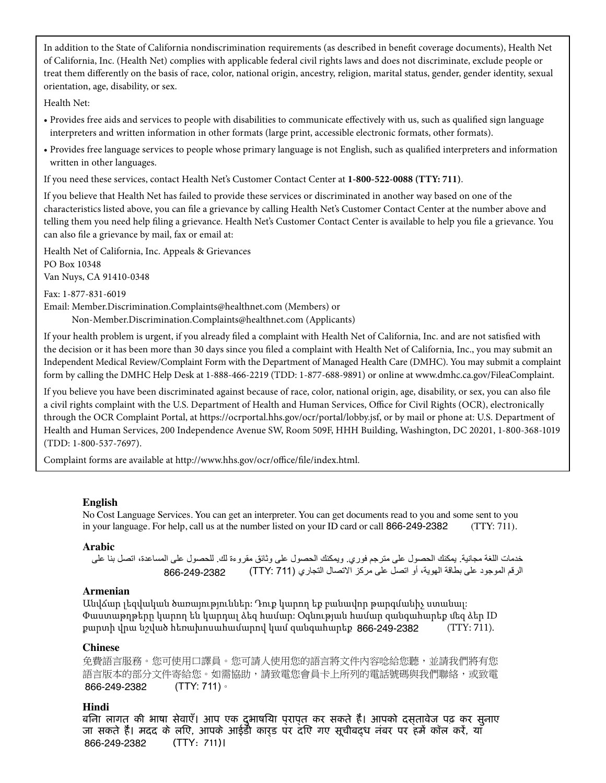In addition to the State of California nondiscrimination requirements (as described in benefit coverage documents), Health Net of California, Inc. (Health Net) complies with applicable federal civil rights laws and does not discriminate, exclude people or treat them differently on the basis of race, color, national origin, ancestry, religion, marital status, gender, gender identity, sexual orientation, age, disability, or sex.

Health Net:

- Provides free aids and services to people with disabilities to communicate effectively with us, such as qualified sign language interpreters and written information in other formats (large print, accessible electronic formats, other formats).
- Provides free language services to people whose primary language is not English, such as qualified interpreters and information written in other languages.

If you need these services, contact Health Net's Customer Contact Center at **1-800-522-0088 (TTY: 711)**.

If you believe that Health Net has failed to provide these services or discriminated in another way based on one of the characteristics listed above, you can file a grievance by calling Health Net's Customer Contact Center at the number above and telling them you need help filing a grievance. Health Net's Customer Contact Center is available to help you file a grievance. You can also file a grievance by mail, fax or email at:

Health Net of California, Inc. Appeals & Grievances PO Box 10348 Van Nuys, CA 91410-0348

Fax: 1-877-831-6019

Email: Member.Discrimination.Complaints@healthnet.com (Members) or Non-Member.Discrimination.Complaints@healthnet.com (Applicants)

If your health problem is urgent, if you already filed a complaint with Health Net of California, Inc. and are not satisfied with the decision or it has been more than 30 days since you filed a complaint with Health Net of California, Inc., you may submit an Independent Medical Review/Complaint Form with the Department of Managed Health Care (DMHC). You may submit a complaint form by calling the DMHC Help Desk at 1-888-466-2219 (TDD: 1-877-688-9891) or online at www.dmhc.ca.gov/FileaComplaint.

If you believe you have been discriminated against because of race, color, national origin, age, disability, or sex, you can also file a civil rights complaint with the U.S. Department of Health and Human Services, Office for Civil Rights (OCR), electronically through the OCR Complaint Portal, at https://ocrportal.hhs.gov/ocr/portal/lobby.jsf, or by mail or phone at: U.S. Department of Health and Human Services, 200 Independence Avenue SW, Room 509F, HHH Building, Washington, DC 20201, 1-800-368-1019 (TDD: 1-800-537-7697).

Complaint forms are available at http://www.hhs.gov/ocr/office/file/index.html.

#### **English**

No Cost Language Services. You can get an interpreter. You can get documents read to you and some sent to you in your language. For help, call us at the number listed on your ID card or call 866-249-2382 (TTY: 711).

#### **Arabic**

خدمات اللغة مجانية. يمكنك الحصول على مترجم فوري. ويمكنك الحصول على وثائق مقروءة لك. للحصول على المساعدة، اتصل بنا على الرقم الموجود على بطاقة الهوية، أو اتصل على مركز االتصال التجاري (711 :TTY ( 866-249-2382

#### **Armenian**

Անվճար լեզվական ծառայություններ: Դուք կարող եք բանավոր թարգմանիչ ստանալ: Փաստաթղթերը կարող են կարդալ ձեզ համար: Օգնության համար զանգահարեք մեզ ձեր ID քարտի վրա նշված հեռախոսահամարով կամ զանգահարեք 866-249-2382 (TTY: 711).

#### **Chinese**

免費語言服務。您可使用口譯員。您可請人使用您的語言將文件內容唸給您聽,並請我們將有您 語言版本的部分文件寄給您。如需協助,請致電您會員卡上所列的電話號碼與我們聯絡,或致電 (TTY: 711)。 866-249-2382

#### **Hindi**

बिना लागत की भाषा सेवाएँ। आप एक दुभाषिया प्राप्त कर सकते हैं। आपको दस्तावेज पढ़ कर सुनाए जा सकते हैं। मदद के लिए, आपके आईडी कार्ड पर दिए गए सूचीबद्ध नंबर पर हमें कॉल करें, या (TTY: 711)। 866-249-2382